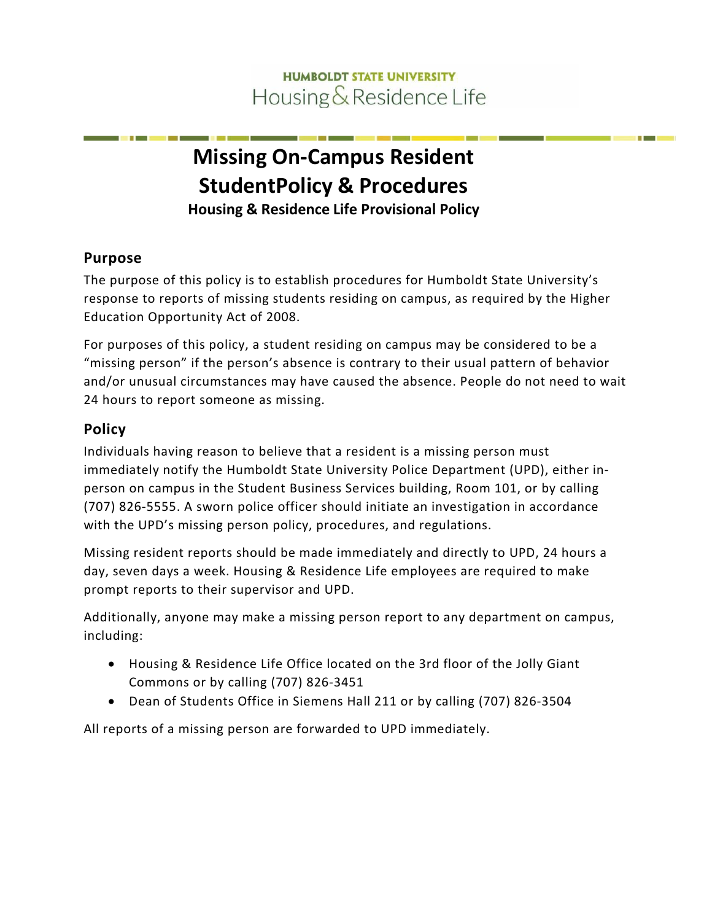# **HUMBOLDT STATE UNIVERSITY** Housing & Residence Life

# **Missing On-Campus Resident Student Policy & Procedures Housing & Residence Life Provisional Policy**

#### **Purpose**

The purpose of this policy is to establish procedures for Humboldt State University's response to reports of missing students residing on campus, as required by the Higher Education Opportunity Act of 2008.

For purposes of this policy, a student residing on campus may be considered to be a "missing person" if the person's absence is contrary to their usual pattern of behavior and/or unusual circumstances may have caused the absence. People do not need to wait 24 hours to report someone as missing.

# **Policy**

Individuals having reason to believe that a resident is a missing person must immediately notify the Humboldt State University Police Department (UPD), either inperson on campus in the Student Business Services building, Room 101, or by calling (707) 826-5555. A sworn police officer should initiate an investigation in accordance with the UPD's missing person policy, procedures, and regulations.

Missing resident reports should be made immediately and directly to UPD, 24 hours a day, seven days a week. Housing & Residence Life employees are required to make prompt reports to their supervisor and UPD.

Additionally, anyone may make a missing person report to any department on campus, including:

- Housing & Residence Life Office located on the 3rd floor of the Jolly Giant Commons or by calling (707) 826-3451
- Dean of Students Office in Siemens Hall 211 or by calling (707) 826-3504

All reports of a missing person are forwarded to UPD immediately.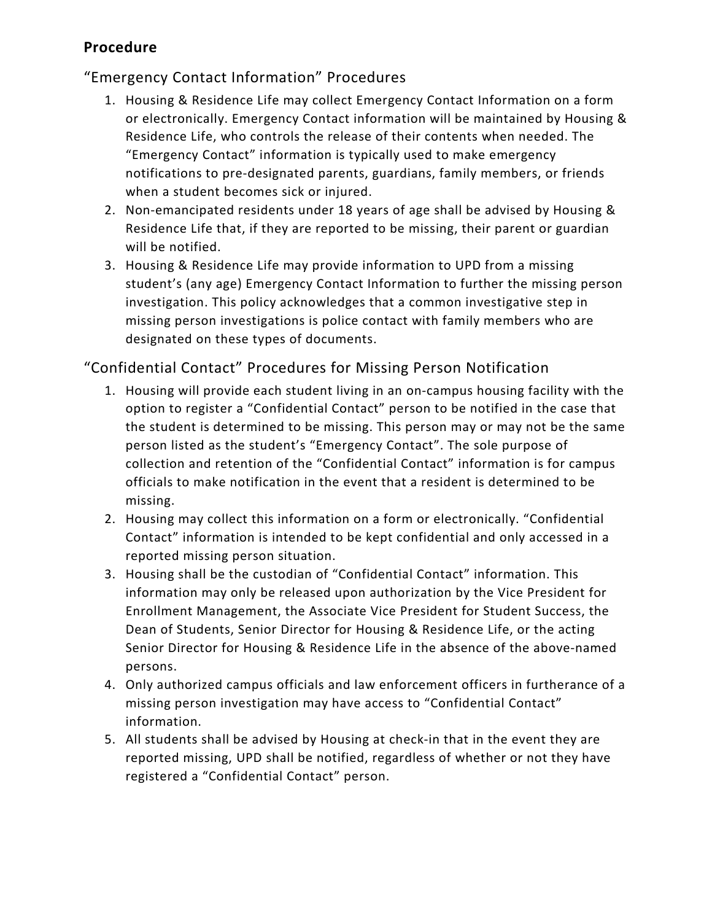#### **Procedure**

## "Emergency Contact Information" Procedures

- 1. Housing & Residence Life may collect Emergency Contact Information on a form or electronically. Emergency Contact information will be maintained by Housing & Residence Life, who controls the release of their contents when needed. The "Emergency Contact" information is typically used to make emergency notifications to pre-designated parents, guardians, family members, or friends when a student becomes sick or injured.
- 2. Non-emancipated residents under 18 years of age shall be advised by Housing & Residence Life that, if they are reported to be missing, their parent or guardian will be notified.
- 3. Housing & Residence Life may provide information to UPD from a missing student's (any age) Emergency Contact Information to further the missing person investigation. This policy acknowledges that a common investigative step in missing person investigations is police contact with family members who are designated on these types of documents.

#### "Confidential Contact" Procedures for Missing Person Notification

- 1. Housing will provide each student living in an on-campus housing facility with the option to register a "Confidential Contact" person to be notified in the case that the student is determined to be missing. This person may or may not be the same person listed as the student's "Emergency Contact". The sole purpose of collection and retention of the "Confidential Contact" information is for campus officials to make notification in the event that a resident is determined to be missing.
- 2. Housing may collect this information on a form or electronically. "Confidential Contact" information is intended to be kept confidential and only accessed in a reported missing person situation.
- 3. Housing shall be the custodian of "Confidential Contact" information. This information may only be released upon authorization by the Vice President for Enrollment Management, the Associate Vice President for Student Success, the Dean of Students, Senior Director for Housing & Residence Life, or the acting Senior Director for Housing & Residence Life in the absence of the above-named persons.
- 4. Only authorized campus officials and law enforcement officers in furtherance of a missing person investigation may have access to "Confidential Contact" information.
- 5. All students shall be advised by Housing at check-in that in the event they are reported missing, UPD shall be notified, regardless of whether or not they have registered a "Confidential Contact" person.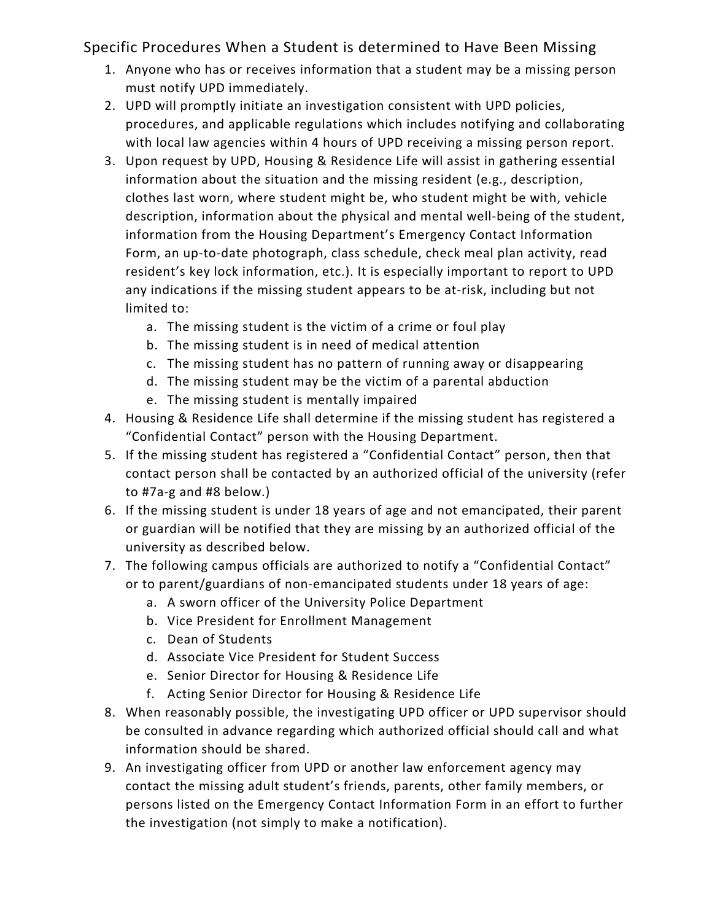Specific Procedures When a Student is determined to Have Been Missing

- 1. Anyone who has or receives information that a student may be a missing person must notify UPD immediately.
- 2. UPD will promptly initiate an investigation consistent with UPD policies, procedures, and applicable regulations which includes notifying and collaborating with local law agencies within 4 hours of UPD receiving a missing person report.
- 3. Upon request by UPD, Housing & Residence Life will assist in gathering essential information about the situation and the missing resident (e.g., description, clothes last worn, where student might be, who student might be with, vehicle description, information about the physical and mental well-being of the student, information from the Housing Department's Emergency Contact Information Form, an up-to-date photograph, class schedule, check meal plan activity, read resident's key lock information, etc.). It is especially important to report to UPD any indications if the missing student appears to be at-risk, including but not limited to:
	- a. The missing student is the victim of a crime or foul play
	- b. The missing student is in need of medical attention
	- c. The missing student has no pattern of running away or disappearing
	- d. The missing student may be the victim of a parental abduction
	- e. The missing student is mentally impaired
- 4. Housing & Residence Life shall determine if the missing student has registered a "Confidential Contact" person with the Housing Department.
- 5. If the missing student has registered a "Confidential Contact" person, then that contact person shall be contacted by an authorized official of the university (refer to #7a-g and #8 below.)
- 6. If the missing student is under 18 years of age and not emancipated, their parent or guardian will be notified that they are missing by an authorized official of the university as described below.
- 7. The following campus officials are authorized to notify a "Confidential Contact" or to parent/guardians of non-emancipated students under 18 years of age:
	- a. A sworn officer of the University Police Department
	- b. Vice President for Enrollment Management
	- c. Dean of Students
	- d. Associate Vice President for Student Success
	- e. Senior Director for Housing & Residence Life
	- f. Acting Senior Director for Housing & Residence Life
- 8. When reasonably possible, the investigating UPD officer or UPD supervisor should be consulted in advance regarding which authorized official should call and what information should be shared.
- 9. An investigating officer from UPD or another law enforcement agency may contact the missing adult student's friends, parents, other family members, or persons listed on the Emergency Contact Information Form in an effort to further the investigation (not simply to make a notification).